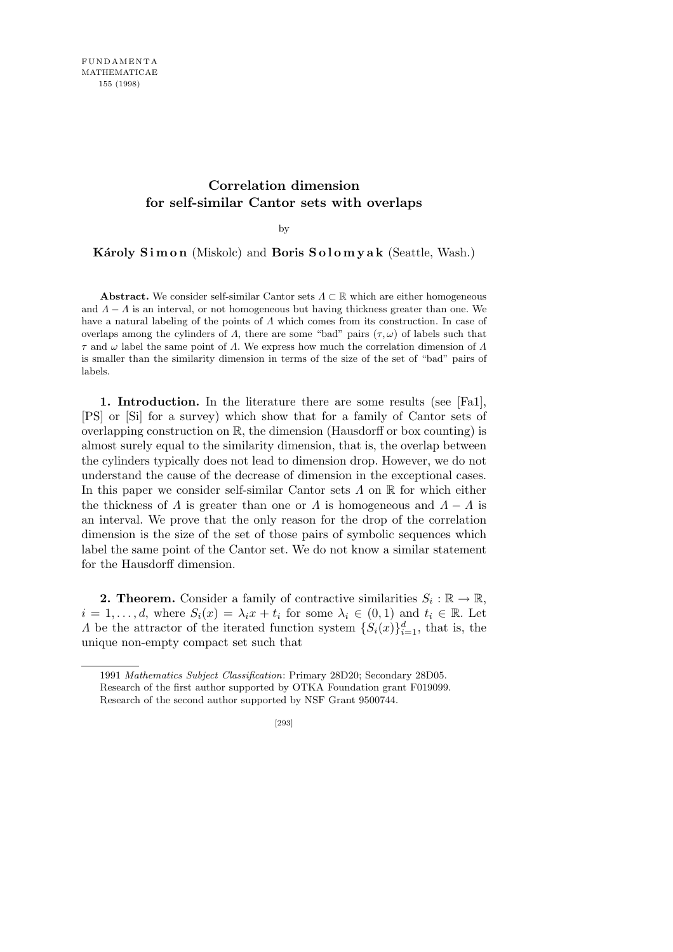## **Correlation dimension for self-similar Cantor sets with overlaps**

by

**Károly Simon** (Miskolc) and **Boris Solomyak** (Seattle, Wash.)

**Abstract.** We consider self-similar Cantor sets *Λ ⊂* R which are either homogeneous and  $\Lambda - \Lambda$  is an interval, or not homogeneous but having thickness greater than one. We have a natural labeling of the points of *Λ* which comes from its construction. In case of overlaps among the cylinders of  $\Lambda$ , there are some "bad" pairs  $(\tau, \omega)$  of labels such that *τ* and *ω* label the same point of *Λ*. We express how much the correlation dimension of *Λ* is smaller than the similarity dimension in terms of the size of the set of "bad" pairs of labels.

**1. Introduction.** In the literature there are some results (see [Fa1], [PS] or [Si] for a survey) which show that for a family of Cantor sets of overlapping construction on  $\mathbb{R}$ , the dimension (Hausdorff or box counting) is almost surely equal to the similarity dimension, that is, the overlap between the cylinders typically does not lead to dimension drop. However, we do not understand the cause of the decrease of dimension in the exceptional cases. In this paper we consider self-similar Cantor sets *Λ* on R for which either the thickness of *Λ* is greater than one or *Λ* is homogeneous and  $A - A$  is an interval. We prove that the only reason for the drop of the correlation dimension is the size of the set of those pairs of symbolic sequences which label the same point of the Cantor set. We do not know a similar statement for the Hausdorff dimension.

**2. Theorem.** Consider a family of contractive similarities  $S_i : \mathbb{R} \to \mathbb{R}$ ,  $i = 1, \ldots, d$ , where  $S_i(x) = \lambda_i x + t_i$  for some  $\lambda_i \in (0,1)$  and  $t_i \in \mathbb{R}$ . Let *Λ* be the attractor of the iterated function system  $\{S_i(x)\}_{i=1}^d$ , that is, the unique non-empty compact set such that

<sup>1991</sup> *Mathematics Subject Classification*: Primary 28D20; Secondary 28D05. Research of the first author supported by OTKA Foundation grant F019099. Research of the second author supported by NSF Grant 9500744.

<sup>[293]</sup>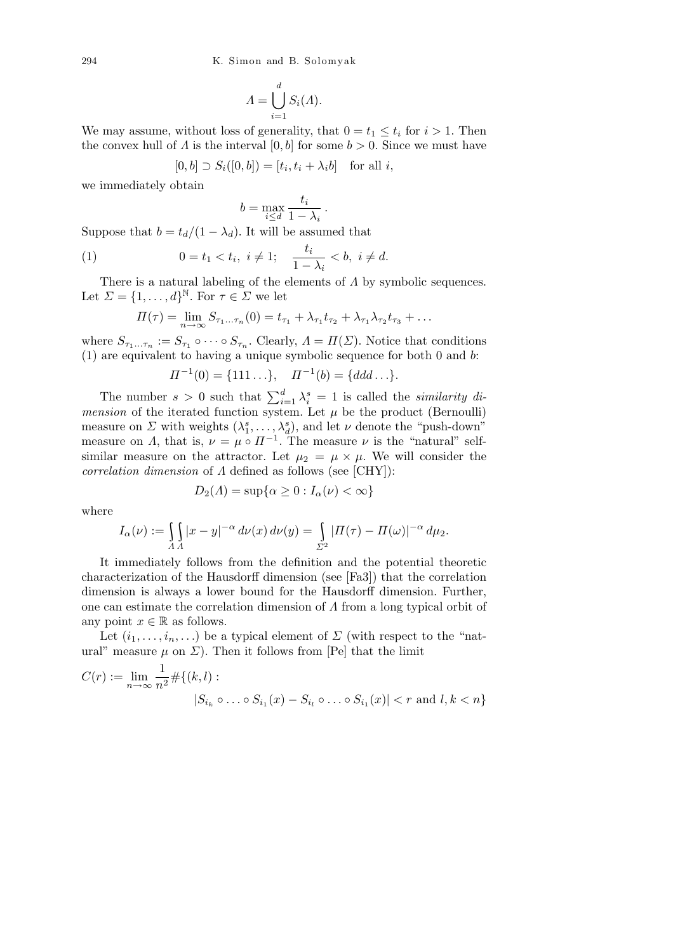$$
\Lambda = \bigcup_{i=1}^d S_i(\Lambda).
$$

We may assume, without loss of generality, that  $0 = t_1 \leq t_i$  for  $i > 1$ . Then the convex hull of *Λ* is the interval  $[0, b]$  for some  $b > 0$ . Since we must have

$$
[0, b] \supset S_i([0, b]) = [t_i, t_i + \lambda_i b] \quad \text{for all } i,
$$

we immediately obtain

$$
b = \max_{i \le d} \frac{t_i}{1 - \lambda_i} \, .
$$

Suppose that  $b = t_d/(1 - \lambda_d)$ . It will be assumed that

(1) 
$$
0 = t_1 < t_i, \ i \neq 1; \quad \frac{t_i}{1 - \lambda_i} < b, \ i \neq d.
$$

There is a natural labeling of the elements of *Λ* by symbolic sequences. Let  $\Sigma = \{1, \ldots, d\}^{\mathbb{N}}$ . For  $\tau \in \Sigma$  we let

$$
\Pi(\tau) = \lim_{n \to \infty} S_{\tau_1...\tau_n}(0) = t_{\tau_1} + \lambda_{\tau_1} t_{\tau_2} + \lambda_{\tau_1} \lambda_{\tau_2} t_{\tau_3} + \dots
$$

where  $S_{\tau_1...\tau_n} := S_{\tau_1} \circ \cdots \circ S_{\tau_n}$ . Clearly,  $\Lambda = \Pi(\Sigma)$ . Notice that conditions (1) are equivalent to having a unique symbolic sequence for both 0 and *b*:

$$
\Pi^{-1}(0) = \{111\ldots\}, \quad \Pi^{-1}(b) = \{ddd\ldots\}.
$$

The number  $s > 0$  such that  $\sum_{i=1}^{d} \lambda_i^s = 1$  is called the *similarity dimension* of the iterated function system. Let  $\mu$  be the product (Bernoulli) measure on *Σ* with weights  $(\lambda_1^s, \ldots, \lambda_d^s)$ , and let *ν* denote the "push-down" measure on *Λ*, that is,  $\nu = \mu \circ \Pi^{-1}$ . The measure  $\nu$  is the "natural" selfsimilar measure on the attractor. Let  $\mu_2 = \mu \times \mu$ . We will consider the *correlation dimension* of *Λ* defined as follows (see [CHY]):

$$
D_2(\Lambda) = \sup \{ \alpha \ge 0 : I_\alpha(\nu) < \infty \}
$$

where

$$
I_{\alpha}(\nu) := \int_{A} |x - y|^{-\alpha} d\nu(x) d\nu(y) = \int_{\Sigma^2} |H(\tau) - H(\omega)|^{-\alpha} d\mu_2.
$$

It immediately follows from the definition and the potential theoretic characterization of the Hausdorff dimension (see [Fa3]) that the correlation dimension is always a lower bound for the Hausdorff dimension. Further, one can estimate the correlation dimension of *Λ* from a long typical orbit of any point  $x \in \mathbb{R}$  as follows.

Let  $(i_1, \ldots, i_n, \ldots)$  be a typical element of  $\Sigma$  (with respect to the "natural" measure  $\mu$  on  $\Sigma$ ). Then it follows from [Pe] that the limit

$$
C(r) := \lim_{n \to \infty} \frac{1}{n^2} \# \{ (k, l) : |S_{i_k} \circ \dots \circ S_{i_1}(x) - S_{i_l} \circ \dots \circ S_{i_1}(x)| < r \text{ and } l, k < n \}
$$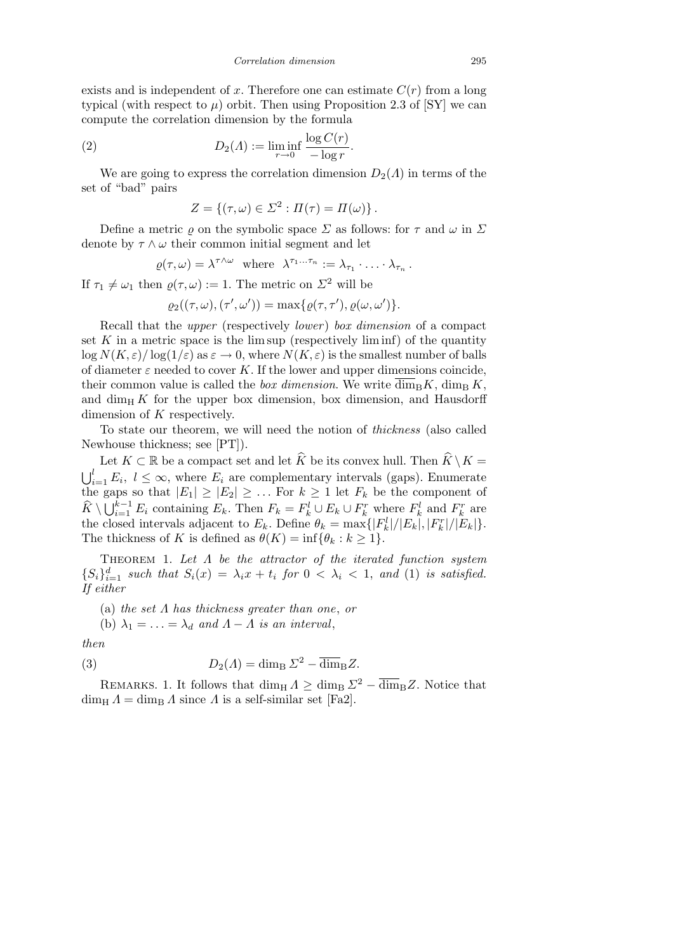exists and is independent of x. Therefore one can estimate  $C(r)$  from a long typical (with respect to  $\mu$ ) orbit. Then using Proposition 2.3 of [SY] we can compute the correlation dimension by the formula

(2) 
$$
D_2(\Lambda) := \liminf_{r \to 0} \frac{\log C(r)}{-\log r}.
$$

We are going to express the correlation dimension  $D_2(\Lambda)$  in terms of the set of "bad" pairs

$$
Z = \{(\tau, \omega) \in \Sigma^2 : \Pi(\tau) = \Pi(\omega)\}.
$$

Define a metric  $\rho$  on the symbolic space  $\Sigma$  as follows: for  $\tau$  and  $\omega$  in  $\Sigma$ denote by  $\tau \wedge \omega$  their common initial segment and let

$$
\varrho(\tau,\omega)=\lambda^{\tau\wedge\omega}\quad\text{where}\quad\lambda^{\tau_1\cdots\tau_n}:=\lambda_{\tau_1}\cdot\ldots\cdot\lambda_{\tau_n}\,.
$$

If  $\tau_1 \neq \omega_1$  then  $\rho(\tau, \omega) := 1$ . The metric on  $\Sigma^2$  will be

$$
\varrho_2((\tau,\omega),(\tau',\omega')) = \max\{\varrho(\tau,\tau'),\varrho(\omega,\omega')\}.
$$

Recall that the *upper* (respectively *lower* ) *box dimension* of a compact set  $K$  in a metric space is the lim sup (respectively liminf) of the quantity  $\log N(K,\varepsilon)/\log(1/\varepsilon)$  as  $\varepsilon \to 0$ , where  $N(K,\varepsilon)$  is the smallest number of balls of diameter  $\varepsilon$  needed to cover  $K$ . If the lower and upper dimensions coincide, their common value is called the *box dimension*. We write  $\overline{\dim}_{\text{B}} K$ ,  $\dim_{\text{B}} K$ , and  $\dim_H K$  for the upper box dimension, box dimension, and Hausdorff dimension of *K* respectively.

To state our theorem, we will need the notion of *thickness* (also called Newhouse thickness; see [PT]).

Let  $K \subset \mathbb{R}$  be a compact set and let  $\widehat{K}$  be its convex hull. Then  $\widehat{K} \setminus K =$  $l<sub>l</sub>$  $\sum_{i=1}^{l} E_i, l \leq \infty$ , where  $E_i$  are complementary intervals (gaps). Enumerate the gaps so that  $|E_1| \geq |E_2| \geq \ldots$  For  $k \geq 1$  let  $F_k$  be the component of  $\hat{K} \setminus \bigcup_{i=1}^{k-1}$  $\sum_{i=1}^{k-1} E_i$  containing  $E_k$ . Then  $F_k = F_k^l \cup E_k \cup F_k^r$  where  $F_k^l$  and  $F_k^r$  are the closed intervals adjacent to  $E_k$ . Define  $\theta_k = \max\{|F_k^l|/|E_k|, |F_k^r|/|E_k|\}.$ The thickness of *K* is defined as  $\theta(K) = \inf \{ \theta_k : k \geq 1 \}.$ 

Theorem 1. *Let Λ be the attractor of the iterated function system*  ${S_i}_{i=1}^d$  *such that*  $S_i(x) = \lambda_i x + t_i$  *for*  $0 < \lambda_i < 1$ , *and* (1) *is satisfied. If either*

(a) *the set Λ has thickness greater than one*, *or*

(b)  $\lambda_1 = \ldots = \lambda_d$  and  $\Lambda - \Lambda$  is an interval,

*then*

(3) 
$$
D_2(\Lambda) = \dim_{\mathrm{B}} \Sigma^2 - \overline{\dim}_{\mathrm{B}} Z.
$$

REMARKS. 1. It follows that dim<sub>H</sub>  $\Lambda \geq \dim_{\text{B}} \Sigma^2 - \overline{\dim}_{\text{B}} Z$ . Notice that  $\dim_{\text{H}} \Lambda = \dim_{\text{B}} \Lambda$  since  $\Lambda$  is a self-similar set [Fa2].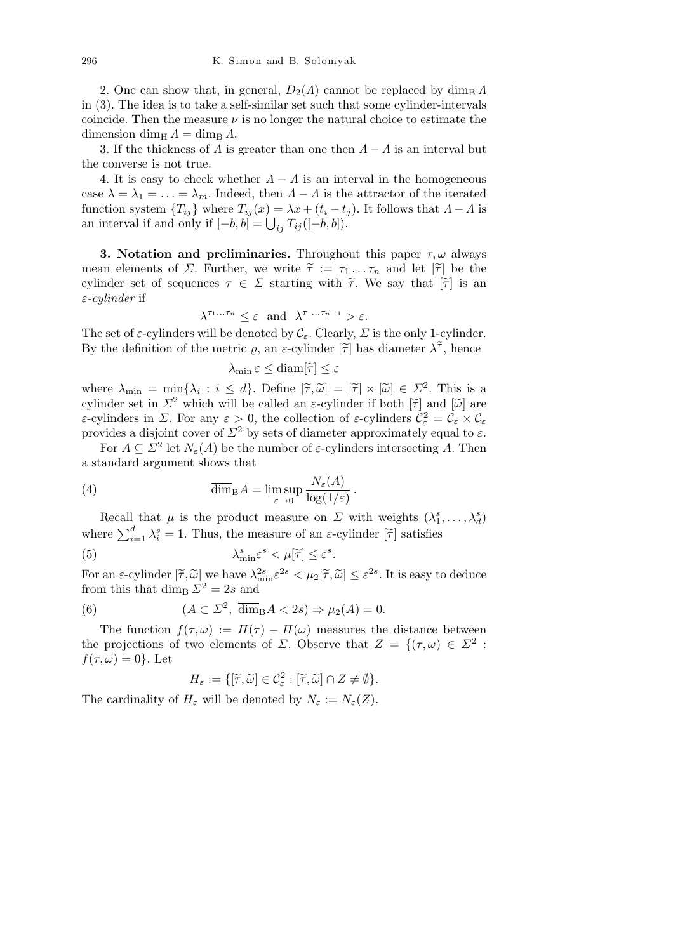2. One can show that, in general,  $D_2(\Lambda)$  cannot be replaced by dim<sub>B</sub>  $\Lambda$ in (3). The idea is to take a self-similar set such that some cylinder-intervals coincide. Then the measure  $\nu$  is no longer the natural choice to estimate the dimension dim<sub>H</sub>  $\Lambda = \dim_{\text{B}} \Lambda$ .

3. If the thickness of  $\Lambda$  is greater than one then  $\Lambda - \Lambda$  is an interval but the converse is not true.

4. It is easy to check whether  $A - A$  is an interval in the homogeneous case  $\lambda = \lambda_1 = \ldots = \lambda_m$ . Indeed, then  $\Lambda - \Lambda$  is the attractor of the iterated function system  ${T_{ij}}$  where  ${T_{ij}(x) = \lambda x + (t_i - t_j)}$ . It follows that  $A - A$  is function system { $I_{ij}$ } where  $I_{ij}(x) = \lambda x + (i_i - i_j)$ <br>an interval if and only if  $[-b, b] = \bigcup_{ij} T_{ij}([-b, b]).$ 

**3. Notation and preliminaries.** Throughout this paper *τ, ω* always mean elements of *Σ*. Further, we write  $\tilde{\tau} := \tau_1 \dots \tau_n$  and let  $[\tilde{\tau}]$  be the cylinder set of sequences  $\tau \in \Sigma$  starting with  $\tilde{\tau}$ . We say that  $|\tilde{\tau}|$  is an *ε-cylinder* if

$$
\lambda^{\tau_1 \dots \tau_n} \leq \varepsilon \text{ and } \lambda^{\tau_1 \dots \tau_{n-1}} > \varepsilon.
$$

The set of  $\varepsilon$ -cylinders will be denoted by  $\mathcal{C}_{\varepsilon}$ . Clearly,  $\Sigma$  is the only 1-cylinder. By the definition of the metric  $\varrho$ , an  $\varepsilon$ -cylinder  $[\tilde{\tau}]$  has diameter  $\lambda^{\tilde{\tau}}$ , hence

$$
\lambda_{\min} \, \varepsilon \leq \mathrm{diam}[\widetilde{\tau}] \leq \varepsilon
$$

where  $\lambda_{\min} = \min\{\lambda_i : i \leq d\}$ . Define  $[\tilde{\tau}, \tilde{\omega}] = [\tilde{\tau}] \times [\tilde{\omega}] \in \Sigma^2$ . This is a cylinder set in  $\Sigma^2$  which will be called an *ε*-cylinder if both  $[\tilde{\tau}]$  and  $[\tilde{\omega}]$  are *ε*-cylinders in *Σ*. For any  $\varepsilon > 0$ , the collection of *ε*-cylinders  $\mathcal{C}_{\varepsilon}^2 = \mathcal{C}_{\varepsilon} \times \mathcal{C}_{\varepsilon}$ provides a disjoint cover of  $\Sigma^2$  by sets of diameter approximately equal to  $\varepsilon$ .

For  $A \subseteq \Sigma^2$  let  $N_{\varepsilon}(A)$  be the number of  $\varepsilon$ -cylinders intersecting A. Then a standard argument shows that

*.*

(4) 
$$
\overline{\dim}_{\mathrm{B}} A = \limsup_{\varepsilon \to 0} \frac{N_{\varepsilon}(A)}{\log(1/\varepsilon)}
$$

Recall that  $\mu$  is the product measure on  $\Sigma$  with weights  $(\lambda_1^s, \ldots, \lambda_d^s)$ where  $\sum_{i=1}^{d} \lambda_i^s = 1$ . Thus, the measure of an *ε*-cylinder  $[\tilde{\tau}]$  satisfies

(5)  $\lambda$  $\sum_{\min}^s \varepsilon^s < \mu[\tilde{\tau}] \leq \varepsilon^s$ .

For an  $\varepsilon$ -cylinder  $[\tilde{\tau}, \tilde{\omega}]$  we have  $\lambda_{\min}^{2s} \varepsilon^{2s} < \mu_2[\tilde{\tau}, \tilde{\omega}] \leq \varepsilon^{2s}$ . It is easy to deduce from this that  $\dim_{\mathrm{B}} \Sigma^2 = 2s$  and

(6) 
$$
(A \subset \Sigma^2, \overline{\dim}_{\text{B}} A < 2s) \Rightarrow \mu_2(A) = 0.
$$

The function  $f(\tau,\omega) := \Pi(\tau) - \Pi(\omega)$  measures the distance between the projections of two elements of *Σ*. Observe that  $Z = \{(\tau, \omega) \in \Sigma^2 :$  $f(\tau,\omega)=0$ . Let

$$
H_{\varepsilon} := \{ [\widetilde{\tau}, \widetilde{\omega}] \in \mathcal{C}_{\varepsilon}^2 : [\widetilde{\tau}, \widetilde{\omega}] \cap Z \neq \emptyset \}.
$$

The cardinality of  $H_{\varepsilon}$  will be denoted by  $N_{\varepsilon} := N_{\varepsilon}(Z)$ .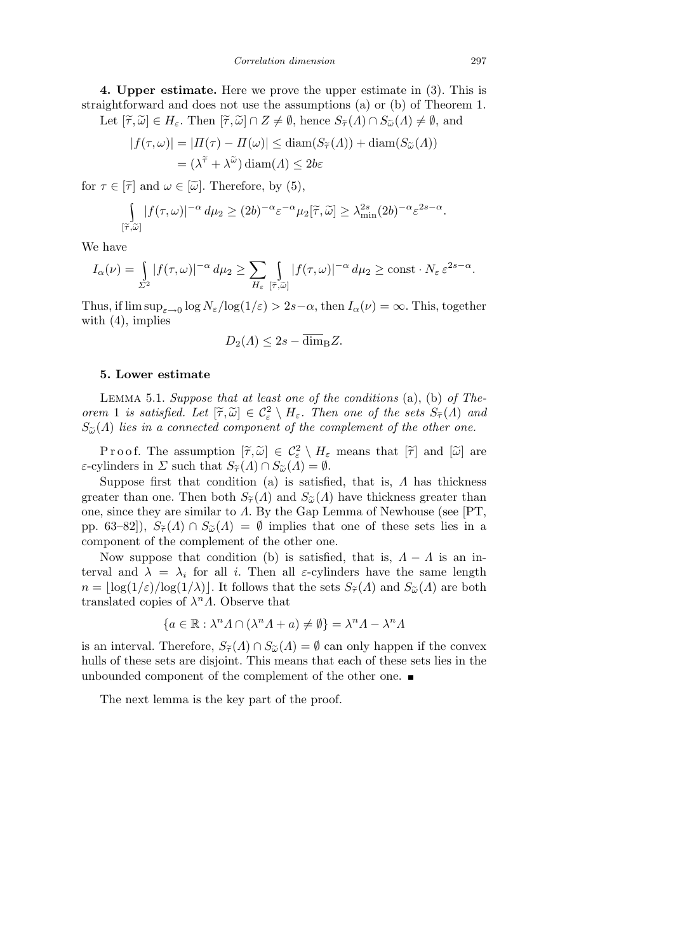**4. Upper estimate.** Here we prove the upper estimate in (3). This is straightforward and does not use the assumptions (a) or (b) of Theorem 1.

Let  $[\tilde{\tau}, \tilde{\omega}] \in H_{\varepsilon}$ . Then  $[\tilde{\tau}, \tilde{\omega}] \cap Z \neq \emptyset$ , hence  $S_{\tilde{\tau}}(\Lambda) \cap S_{\tilde{\omega}}(\Lambda) \neq \emptyset$ , and *|f*(*τ, ω*)*|* = *|Π*(*τ* ) *− Π*(*ω*)*| ≤* diam(*Sτ*e(*Λ*)) + diam(*Sω*<sup>e</sup> (*Λ*))

$$
|f(\tau, \omega)| = |H(\tau) - H(\omega)| \le \text{diam}(S_{\widetilde{\tau}}(\Lambda)) + \text{diam}(S_{\widetilde{\omega}}(\Lambda))
$$
  
=  $(\lambda^{\widetilde{\tau}} + \lambda^{\widetilde{\omega}}) \text{diam}(\Lambda) \le 2b\varepsilon$ 

for  $\tau \in [\tilde{\tau}]$  and  $\omega \in [\tilde{\omega}]$ . Therefore, by (5),

$$
\int_{[\tilde{\tau},\tilde{\omega}]} |f(\tau,\omega)|^{-\alpha} d\mu_2 \ge (2b)^{-\alpha} \varepsilon^{-\alpha} \mu_2[\tilde{\tau},\tilde{\omega}] \ge \lambda_{\min}^{2s} (2b)^{-\alpha} \varepsilon^{2s-\alpha}.
$$

We have

$$
I_{\alpha}(\nu) = \int_{\Sigma^2} |f(\tau,\omega)|^{-\alpha} d\mu_2 \geq \sum_{H_{\varepsilon}} \int_{[\tilde{\tau},\tilde{\omega}]} |f(\tau,\omega)|^{-\alpha} d\mu_2 \geq \text{const} \cdot N_{\varepsilon} \varepsilon^{2s-\alpha}.
$$

Thus, if  $\limsup_{\varepsilon \to 0} \log N_{\varepsilon} / \log(1/\varepsilon) > 2s - \alpha$ , then  $I_{\alpha}(\nu) = \infty$ . This, together with  $(4)$ , implies

$$
D_2(\Lambda) \leq 2s - \overline{\dim}_{\mathrm{B}} Z.
$$

## **5. Lower estimate**

Lemma 5.1. *Suppose that at least one of the conditions* (a), (b) *of Theorem* 1 *is satisfied.* Let  $[\tilde{\tau}, \tilde{\omega}] \in C_{\varepsilon}^2 \setminus H_{\varepsilon}$ . Then one of the sets  $S_{\tilde{\tau}}(\Lambda)$  and  $S_{\tilde{\omega}}(\Lambda)$  *lies in a connected component of the complement of the other one.* 

P r o o f. The assumption  $[\tilde{\tau}, \tilde{\omega}] \in C_{\varepsilon}^2 \setminus H_{\varepsilon}$  means that  $[\tilde{\tau}]$  and  $[\tilde{\omega}]$  are *ε*-cylinders in *Σ* such that  $S_{\tilde{\tau}}(A) \cap S_{\tilde{\omega}}(A) = \emptyset$ .

Suppose first that condition (a) is satisfied, that is, *Λ* has thickness greater than one. Then both  $S_{\tilde{\tau}}(\Lambda)$  and  $S_{\tilde{\omega}}(\Lambda)$  have thickness greater than one, since they are similar to *Λ*. By the Gap Lemma of Newhouse (see [PT, pp. 63–82]),  $S_{\tilde{\tau}}(\Lambda) \cap S_{\tilde{\omega}}(\Lambda) = \emptyset$  implies that one of these sets lies in a component of the complement of the other one.

Now suppose that condition (b) is satisfied, that is,  $A - A$  is an interval and  $\lambda = \lambda_i$  for all *i*. Then all *ε*-cylinders have the same length  $n = \log(1/\varepsilon)/\log(1/\lambda)$ . It follows that the sets  $S_{\tilde{\tau}}(\Lambda)$  and  $S_{\tilde{\omega}}(\Lambda)$  are both translated copies of  $\lambda^n A$ . Observe that

$$
\{a \in \mathbb{R} : \lambda^n A \cap (\lambda^n A + a) \neq \emptyset\} = \lambda^n A - \lambda^n A
$$

is an interval. Therefore,  $S_{\tilde{\tau}}(\Lambda) \cap S_{\tilde{\omega}}(\Lambda) = \emptyset$  can only happen if the convex hulls of these sets are disjoint. This means that each of these sets lies in the unbounded component of the complement of the other one.

The next lemma is the key part of the proof.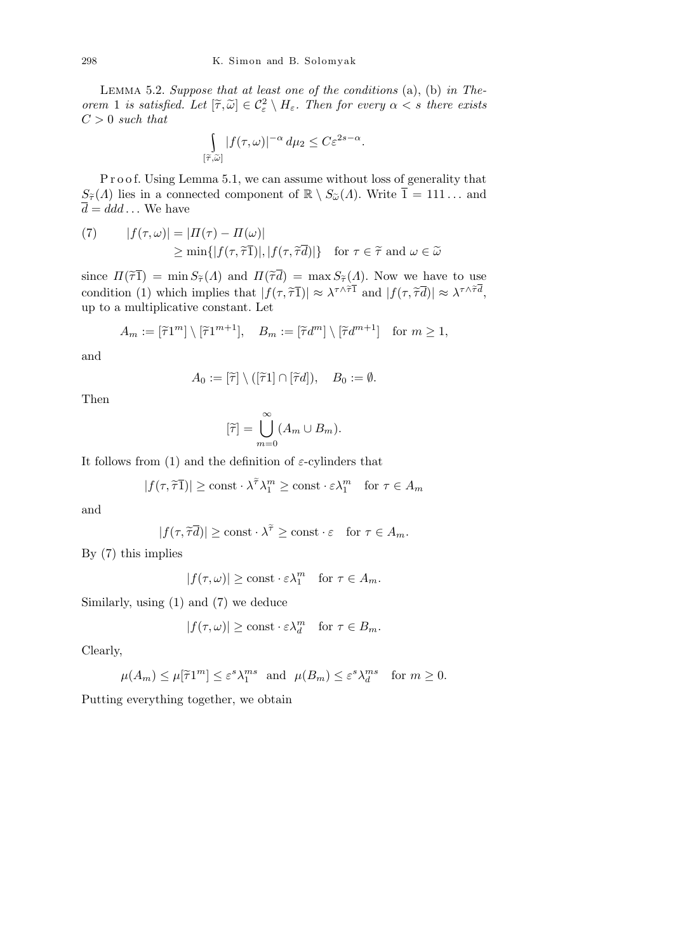Lemma 5.2. *Suppose that at least one of the conditions* (a), (b) *in Theorem* 1 *is satisfied.* Let  $[\tilde{\tau}, \tilde{\omega}] \in C_{\varepsilon}^2 \setminus H_{\varepsilon}$ . Then for every  $\alpha < s$  there exists *C >* 0 *such that*

$$
\int_{[\tilde{\tau},\tilde{\omega}]} |f(\tau,\omega)|^{-\alpha} d\mu_2 \leq C \varepsilon^{2s-\alpha}.
$$

P r o o f. Using Lemma 5.1, we can assume without loss of generality that  $S_{\tilde{\tau}}(\Lambda)$  lies in a connected component of  $\mathbb{R} \setminus S_{\tilde{\omega}}(\Lambda)$ . Write  $\overline{1} = 111...$  and  $\overline{d} = \overline{d}dd \dots$  We have

(7) 
$$
|f(\tau,\omega)| = |H(\tau) - H(\omega)|
$$
  
\n
$$
\geq \min\{|f(\tau,\widetilde{\tau}1)|, |f(\tau,\widetilde{\tau}d)|\} \text{ for } \tau \in \widetilde{\tau} \text{ and } \omega \in \widetilde{\omega}
$$

since  $\Pi(\tilde{\tau}) = \min S_{\tilde{\tau}}(\Lambda)$  and  $\Pi(\tilde{\tau}\bar{d}) = \max S_{\tilde{\tau}}(\Lambda)$ . Now we have to use condition (1) which implies that  $|f(\tau, \tilde{\tau})| \approx \lambda^{\tau \wedge \tilde{\tau}} \bar{1}$  and  $|f(\tau, \tilde{\tau} d)| \approx \lambda^{\tau \wedge \tilde{\tau} d}$ , up to a multiplicative constant. Let

$$
A_m := [\widetilde{\tau}1^m] \setminus [\widetilde{\tau}1^{m+1}], \quad B_m := [\widetilde{\tau}d^m] \setminus [\widetilde{\tau}d^{m+1}] \quad \text{for } m \ge 1,
$$

and

$$
A_0 := [\widetilde{\tau}] \setminus ([\widetilde{\tau}1] \cap [\widetilde{\tau}d]), \quad B_0 := \emptyset.
$$

Then

$$
[\widetilde{\tau}] = \bigcup_{m=0}^{\infty} (A_m \cup B_m).
$$

It follows from (1) and the definition of  $\varepsilon$ -cylinders that

$$
|f(\tau, \widetilde{\tau} \overline{1})| \ge \text{const} \cdot \lambda^{\widetilde{\tau}} \lambda_1^m \ge \text{const} \cdot \varepsilon \lambda_1^m \quad \text{for } \tau \in A_m
$$

and

$$
|f(\tau, \tilde{\tau}\overline{d})| \ge \text{const} \cdot \lambda^{\tilde{\tau}} \ge \text{const} \cdot \varepsilon \quad \text{for } \tau \in A_m.
$$

By (7) this implies

$$
|f(\tau,\omega)| \ge \text{const} \cdot \varepsilon \lambda_1^m \quad \text{for } \tau \in A_m.
$$

Similarly, using (1) and (7) we deduce

$$
|f(\tau,\omega)| \ge \text{const} \cdot \varepsilon \lambda_d^m \quad \text{for } \tau \in B_m.
$$

Clearly,

$$
\mu(A_m) \le \mu[\widetilde{\tau}1^m] \le \varepsilon^s \lambda_1^{ms} \text{ and } \mu(B_m) \le \varepsilon^s \lambda_d^{ms} \text{ for } m \ge 0.
$$

Putting everything together, we obtain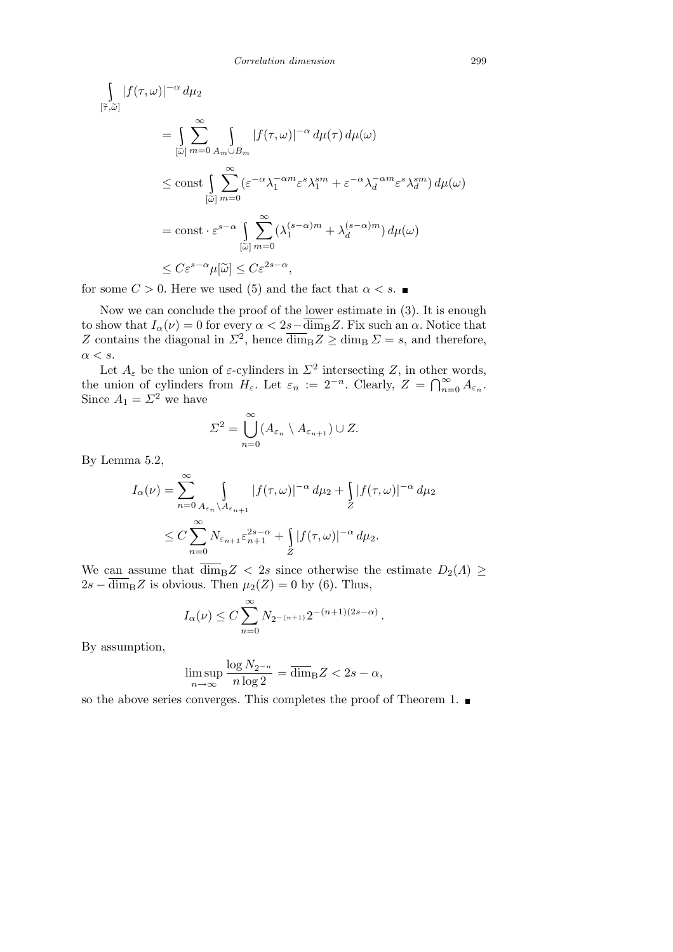$$
\int_{[\tilde{\tau},\tilde{\omega}]} |f(\tau,\omega)|^{-\alpha} d\mu_2
$$
\n
$$
= \int_{[\tilde{\omega}]} \sum_{m=0}^{\infty} \int_{A_m \cup B_m} |f(\tau,\omega)|^{-\alpha} d\mu(\tau) d\mu(\omega)
$$
\n
$$
\leq \text{const} \int_{[\tilde{\omega}]} \sum_{m=0}^{\infty} (\varepsilon^{-\alpha} \lambda_1^{-\alpha m} \varepsilon^s \lambda_1^{sm} + \varepsilon^{-\alpha} \lambda_d^{-\alpha m} \varepsilon^s \lambda_d^{sm}) d\mu(\omega)
$$
\n
$$
= \text{const} \cdot \varepsilon^{s-\alpha} \int_{[\tilde{\omega}]} \sum_{m=0}^{\infty} (\lambda_1^{(s-\alpha)m} + \lambda_d^{(s-\alpha)m}) d\mu(\omega)
$$
\n
$$
\leq C \varepsilon^{s-\alpha} \mu[\tilde{\omega}] \leq C \varepsilon^{2s-\alpha},
$$

for some  $C > 0$ . Here we used (5) and the fact that  $\alpha < s$ .

Now we can conclude the proof of the lower estimate in (3). It is enough to show that  $I_\alpha(\nu) = 0$  for every  $\alpha < 2s - \overline{\dim}_B Z$ . Fix such an  $\alpha$ . Notice that *Z* contains the diagonal in  $\Sigma^2$ , hence  $\overline{\dim}_{\text{B}}Z \ge \dim_{\text{B}}Z = s$ , and therefore, *α < s*.

Let  $A_{\varepsilon}$  be the union of  $\varepsilon$ -cylinders in  $\Sigma^2$  intersecting *Z*, in other words, the union of cylinders from *H<sub>ε</sub>*. Let  $\varepsilon_n := 2^{-n}$ . Clearly,  $Z = \bigcap_{n=1}^{\infty}$ <br>the union of cylinders from *H<sub>ε</sub>*. Let  $\varepsilon_n := 2^{-n}$ . Clearly,  $Z = \bigcap_{n=1}^{\infty}$  $\sum_{n=0}^{\infty} A_{\varepsilon_n}$ . Since  $A_1 = \Sigma^2$  we have

$$
\Sigma^2 = \bigcup_{n=0}^{\infty} (A_{\varepsilon_n} \setminus A_{\varepsilon_{n+1}}) \cup Z.
$$

By Lemma 5.2,

$$
I_{\alpha}(\nu) = \sum_{n=0}^{\infty} \int_{A_{\varepsilon_n} \setminus A_{\varepsilon_{n+1}}} |f(\tau, \omega)|^{-\alpha} d\mu_2 + \int_{Z} |f(\tau, \omega)|^{-\alpha} d\mu_2
$$
  

$$
\leq C \sum_{n=0}^{\infty} N_{\varepsilon_{n+1}} \varepsilon_{n+1}^{2s-\alpha} + \int_{Z} |f(\tau, \omega)|^{-\alpha} d\mu_2.
$$

We can assume that  $\overline{\dim}_{\mathrm{B}}Z$  < 2*s* since otherwise the estimate  $D_2(A) \geq$  $2s - \overline{\dim}_{\text{B}}Z$  is obvious. Then  $\mu_2(Z) = 0$  by (6). Thus,

$$
I_{\alpha}(\nu) \le C \sum_{n=0}^{\infty} N_{2^{-(n+1)}} 2^{-(n+1)(2s-\alpha)}
$$
.

By assumption,

$$
\limsup_{n \to \infty} \frac{\log N_{2^{-n}}}{n \log 2} = \overline{\dim}_{\mathrm{B}} Z < 2s - \alpha,
$$

so the above series converges. This completes the proof of Theorem 1.  $\blacksquare$